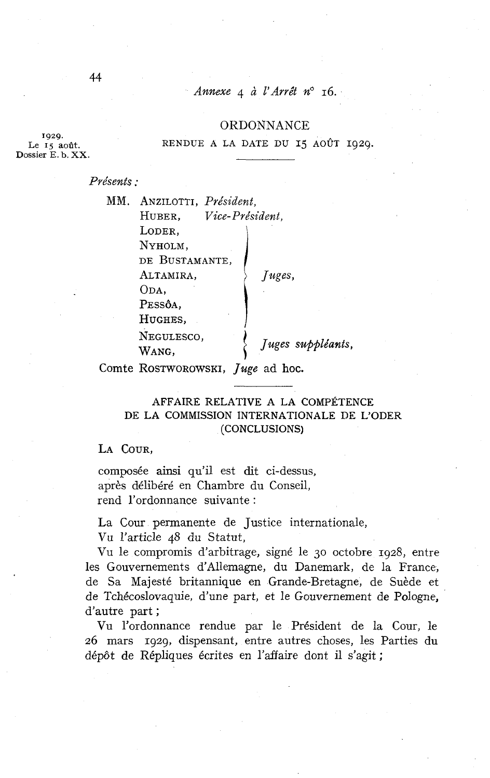## Annexe 4 à l'Arrêt n° 16.

#### ORDONNANCE

**1929.**  Dossier E. b. XX.

Le **15** août. RENDUE A LA DATE DU **15** AOÛT 1929.

Présents :

| MM. | ANZILOTTI, Président,     |                   |
|-----|---------------------------|-------------------|
|     | Vice-Président,<br>HUBER, |                   |
|     | LODER,                    |                   |
|     | NYHOLM,                   |                   |
|     | DE BUSTAMANTE,            |                   |
|     | ALTAMIRA,                 | /uges,            |
|     | ODA.                      |                   |
|     | PESSÔA,                   |                   |
|     | HUGHES,                   |                   |
|     | NEGULESCO,                |                   |
|     | Wang,                     | Juges suppléants, |
|     |                           |                   |

Comte ROSTWOROWSKI, Juge ad hoc.

## AFFAIRE RELATIVE A LA COMPETENCE DE LA COMMISSION INTERNATIONALE DE L'ODER (CONCLUSIONS)

LA COUR,

composée ainsi qu'il est dit ci-dessus, après délibéré en Chambre du Conseil, rend l'ordonnance suivante :

La Cour permanente de Justice internationale,

Vu l'article 48 du Statut,

Vu le compromis d'arbitrage, signé le 30 octobre 1928, entre les Gouvernements d'Allemagne, du Danemark, de la France, de Sa Majesté britannique en Grande-Bretagne, de Suède et de Tchécoslovaquie, d'une part, et le Gouvernement de Pologne, d'autre part ;

Vu l'ordonnance rendue par le Président de la Cour, le 26 mars 1929, dispensant, entre autres choses, les Parties du dépôt de Répliques écrites en l'affaire dont il s'agit ;

44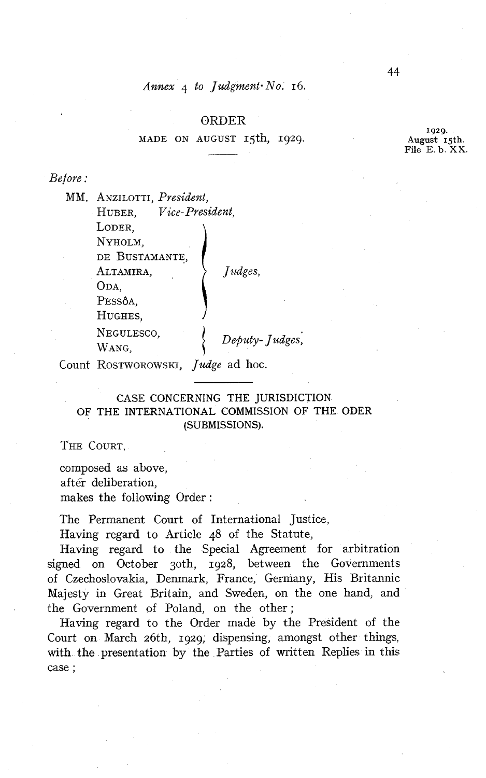*Annex*  $\alpha$  *to Judgment No.* 16.

#### ORDER

MADE ON AUGUST 15th, 1929.

*Be f ore* :

MM. ANZILOTTI, *President,*  HUBER, *Vice-President,*  LODER, NYHOLM, DE BUSTAMANTE, ALTAMIRA,  $\qquad \qquad \}$  *Judges*, ODA, PESSÔA, HUGHES, NEGULESCO, Deputy-Judges, WANG,

Count ROSTWOROWSKI, *Judge* ad hoc.

CASE CONCERNING THE JURISDICTION OF THE INTERNATIONAL COMMISSION OF THE ODER (SUBMISSIONS).

THE COURT.

composed as above, aftër deliberation, makes the following Order:

The Permanent Court of International Justice,

Having regard to Article 48 of the Statute,

Having regard to the Special Agreement for arbitration signed on October 3oth, 1928, between the Governments of Czechoslovakia, Denmark, France, Germany, His Britannic Majesty in Great Britain, and Sweden, on the one hand, and the Government of Poland, on the other;

Having regard to the Order made by the President of the Court on March 26th, 1929, dispensing, amongst other things, with the presentation by the Parties of written Replies in this case ;

44

**1929.**  August 15th. File E. **b. XX.**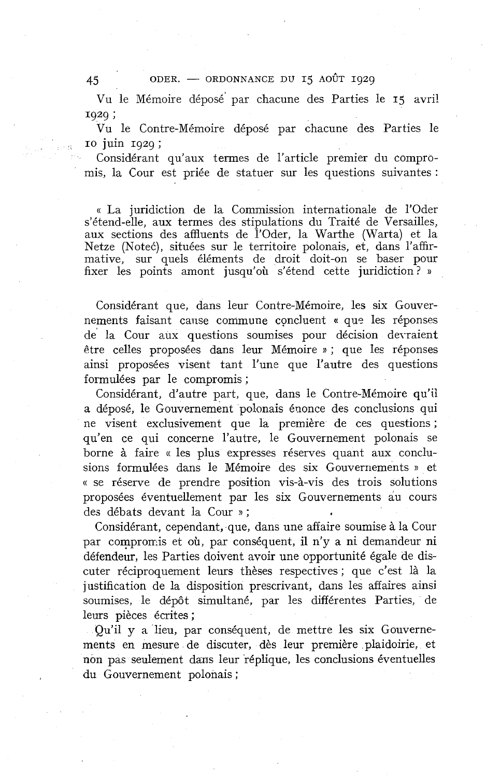$45$  ODER. - ORDONNANCE DU 15 AOÛT 1929

Vu le Mémoire déposé' par chacune des Parties le 15 avri! <sup>1929</sup>;

Vu le Contre-Mémoire déposé par chacune des Parties le IO juin 1929;

Considérant qu'aux termes de l'article premier du compromis, la Cour est priée de statuer sur les questions suivantes :

« La juridiction de la Commission internationale de l'Oder s'étend-elle, aux termes des stipulations du Traité de Versailles, aux sections des affluents de l'Oder, la Warthe (Warta) et la Netze (Noteć), situées sur le territoire polonais, et, dans l'affirmative, sur quels éléments de droit doit-on se baser pour fixer les points amont jusqu'où s'étend cette juridiction? »

Considérant que, dans leur Contre-Mémoire, les six Gouvernements faisant cause commune concluent « que les réponses de' la Cour aux questions soumises pour décision devraient 6tre celles proposées dans leur Mémoire **s** ; que les réponses ainsi proposées visent tant l'une que l'autre des questions formulées par le compromis ;

Considérant, d'autre part, que, dans le Contre-Mémoire qu'il a déposé, le Gouvernement polonais énonce des conclusions qui ne visent exclusivement que la première de ces questions ; qu'en ce qui concerne l'autre, le Gouvernement polonais se borne à faire « les plus expresses réserves quant aux conclusions formulées dans le Mémoire des six Gouvernements » et « se réserve de prendre position vis-à-vis des trois solutions proposées éventuellement par les six Gouvernements au cours des débats devant la Cour » ;

Considérant, cependant, que, dans une affaire soumise à la Cour par compromis et où, par conséquent, il n'y a ni demandeur ni défendeur, les Parties doivent avoir une opportunité égale de discuter réciproquement leurs thèses respectives ; que c'est là la justification de la disposition prescrivant, dans les affaires ainsi soumises, le dépôt simultané, par les différentes Parties, de leurs pièces écrites ;

Qu'il y a lieu, par conséquent, de mettre les six Gouvernements en mesure de discuter, dès leur première plaidoirie, et non pas seulement dans leur réplique, les conclusions éventuelles du Gouvernement polonais ;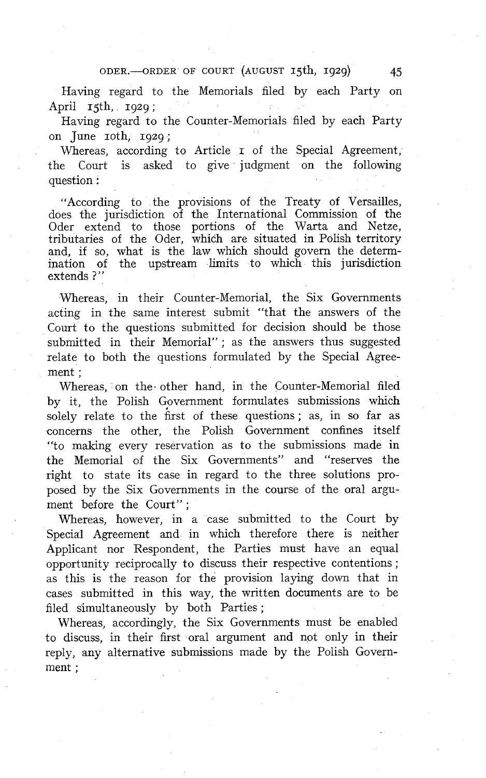### ODER.-ORDER OF COURT (AUGUST 15th, 1929)

Having regard to the Memorials filed by each Party on April **15th**, **1929**;

Having regard to the Counter-Memorials filed by each Party on  $\text{June}$   $\text{roth}$ ,  $\text{1929}$ ;

Whereas, according to Article **I** of the Special Agreement, the Court is asked to give judgment on the following question :

"According to the provisions of the Treaty of Versailles, does the jurisdiction of the International Commission of the Oder extend to those portions of the Warta and Netze, tributaries of the Oder, which are situated in Polish territory and, if so, what is the law which should govern the determination of the upstream limits to which this jurisdiction extends ?"

Whereas, in their Counter-Memorial, the Six Governments acting in the same interest submit "that the answers of the Court to the questions submitted for decision should be those submitted in their Memorial"; as the answers thus suggested relate to both the questions formulated by the Special Agreement ;

Whereas, on the other hand, in the Counter-Memorial filed by it, the Polish Government formulates submissions which solely relate to the first of these questions; as, in so far as concerns the other, the Polish Government confines itself "to making every reservation as to the submissions made in the Memorial of the Six Governments" and "reserves the right to state its case in regard to the three solutions proposed by the Six Governments in the course of the oral argument before the Court" ;

Whereas, however, in a case submitted to the Court by Special Agreement and in which therefore there is neither Applicant nor Respondent, the Parties must have an equal opportunity reciprocally to discuss their respective contentions ; as this is the reason for the provision laying down that in cases submitted in this way, the written documents are io be filed simultaneously by both Parties ;

Whereas, accordingly, the Six Governments must be enabled to discuss, in their first oral argument and not only in their reply, any alternative submissions made by the Polish Government ;

45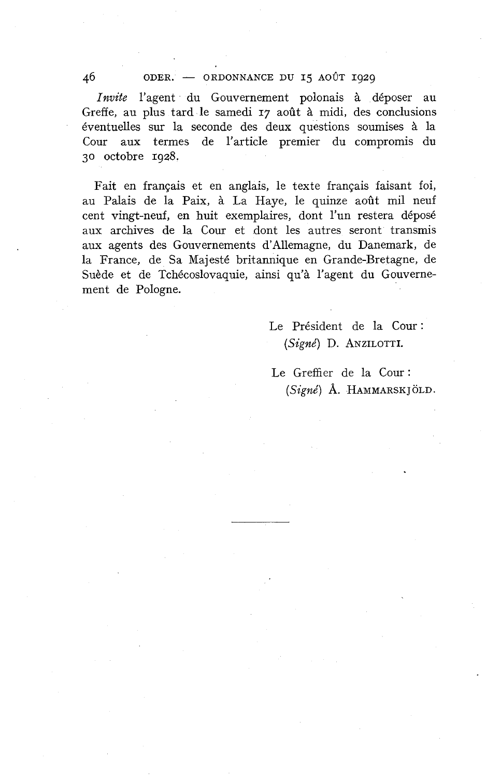#### 46 ODER. - ORDONNANCE DU 15 AOÛT 1929

*Invite* l'agent du Gouvernement polonais à déposer au Greffe, au plus tard le samedi 17 août à midi, des conclusions éventuelles sur la seconde des deux questions soumises à la Cour aux termes de l'article premier du compromis du 30 octobre 1928.

Fait en français et en anglais, le texte français faisant foi, au Palais de la Paix, à La Haye, le quinze août mil neuf cent vingt-neuf, en huit exemplaires, dont l'un restera déposé aux archives de la Cour et dont les autres seront transmis aux agents des Gouvernements d'Allemagne, du Danemark, de la France, de Sa Majesté britannique en Grande-Bretagne, de Suède et de Tchécoslovaquie, ainsi qu'à l'agent du Gouvernement de Pologne.

> Le Président de la Cour : *(Signé)* D. ANZILOTTI.

Le Greffier de la Cour: (Signé) Å. HAMMARSKJÖLD.